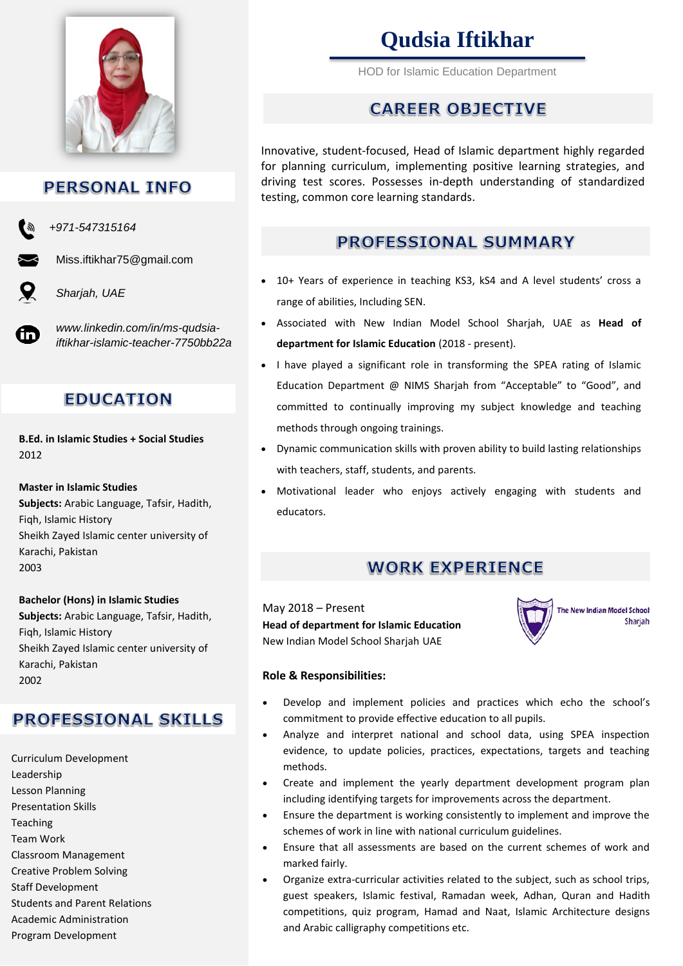

# **PERSONAL INFO**

*+971-547315164*

Miss.iftikhar75@gmail.com

*Sharjah, UAE*

in

*www.linkedin.com/in/ms-qudsiaiftikhar-islamic-teacher-7750bb22a*

# **EDUCATION**

**B.Ed. in Islamic Studies + Social Studies** 2012

**Master in Islamic Studies Subjects:** Arabic Language, Tafsir, Hadith, Fiqh, Islamic History Sheikh Zayed Islamic center university of Karachi, Pakistan 2003

#### **Bachelor (Hons) in Islamic Studies**

**Subjects:** Arabic Language, Tafsir, Hadith, Fiqh, Islamic History Sheikh Zayed Islamic center university of Karachi, Pakistan 2002

# **PROFESSIONAL SKILLS**

Curriculum Development Leadership Lesson Planning Presentation Skills **Teaching** Team Work Classroom Management Creative Problem Solving Staff Development Students and Parent Relations Academic Administration Program Development

# **Qudsia Iftikhar**

HOD for Islamic Education Department

# **CAREER OBJECTIVE**

Innovative, student-focused, Head of Islamic department highly regarded for planning curriculum, implementing positive learning strategies, and driving test scores. Possesses in-depth understanding of standardized testing, common core learning standards.

# **PROFESSIONAL SUMMARY**

- 10+ Years of experience in teaching KS3, kS4 and A level students' cross a range of abilities, Including SEN.
- Associated with New Indian Model School Sharjah, UAE as **Head of department for Islamic Education** (2018 - present).
- I have played a significant role in transforming the SPEA rating of Islamic Education Department @ NIMS Sharjah from "Acceptable" to "Good", and committed to continually improving my subject knowledge and teaching methods through ongoing trainings.
- Dynamic communication skills with proven ability to build lasting relationships with teachers, staff, students, and parents.
- Motivational leader who enjoys actively engaging with students and educators.

# **WORK EXPERIENCE**

May 2018 – Present **Head of department for Islamic Education** New Indian Model School Sharjah UAE



## **Role & Responsibilities:**

- Develop and implement policies and practices which echo the school's commitment to provide effective education to all pupils.
- Analyze and interpret national and school data, using SPEA inspection evidence, to update policies, practices, expectations, targets and teaching methods.
- Create and implement the yearly department development program plan including identifying targets for improvements across the department.
- Ensure the department is working consistently to implement and improve the schemes of work in line with national curriculum guidelines.
- Ensure that all assessments are based on the current schemes of work and marked fairly.
- Organize extra-curricular activities related to the subject, such as school trips, guest speakers, Islamic festival, Ramadan week, Adhan, Quran and Hadith competitions, quiz program, Hamad and Naat, Islamic Architecture designs and Arabic calligraphy competitions etc.